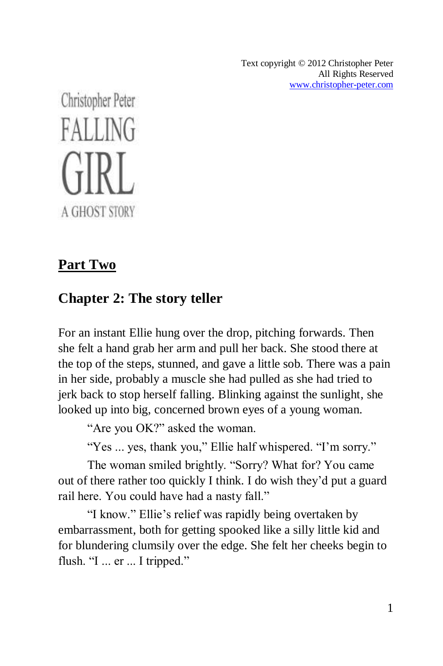Text copyright © 2012 Christopher Peter All Rights Reserved [www.christopher-peter.com](http://www.christopher-peter.com/)

Christopher Peter **FALLING** A GHOST STORY

# **Part Two**

# **Chapter 2: The story teller**

For an instant Ellie hung over the drop, pitching forwards. Then she felt a hand grab her arm and pull her back. She stood there at the top of the steps, stunned, and gave a little sob. There was a pain in her side, probably a muscle she had pulled as she had tried to jerk back to stop herself falling. Blinking against the sunlight, she looked up into big, concerned brown eyes of a young woman.

"Are you OK?" asked the woman.

"Yes ... yes, thank you," Ellie half whispered. "I'm sorry."

The woman smiled brightly. "Sorry? What for? You came out of there rather too quickly I think. I do wish they'd put a guard rail here. You could have had a nasty fall."

"I know." Ellie's relief was rapidly being overtaken by embarrassment, both for getting spooked like a silly little kid and for blundering clumsily over the edge. She felt her cheeks begin to flush. "I ... er ... I tripped."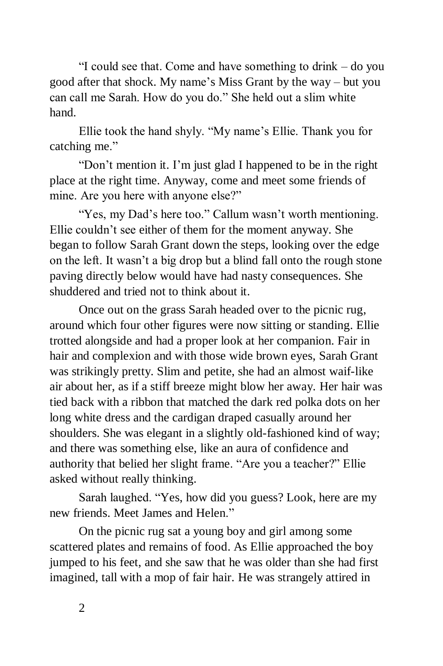"I could see that. Come and have something to drink – do you good after that shock. My name's Miss Grant by the way – but you can call me Sarah. How do you do." She held out a slim white hand.

Ellie took the hand shyly. "My name's Ellie. Thank you for catching me."

"Don't mention it. I'm just glad I happened to be in the right place at the right time. Anyway, come and meet some friends of mine. Are you here with anyone else?"

"Yes, my Dad's here too." Callum wasn't worth mentioning. Ellie couldn't see either of them for the moment anyway. She began to follow Sarah Grant down the steps, looking over the edge on the left. It wasn't a big drop but a blind fall onto the rough stone paving directly below would have had nasty consequences. She shuddered and tried not to think about it.

Once out on the grass Sarah headed over to the picnic rug, around which four other figures were now sitting or standing. Ellie trotted alongside and had a proper look at her companion. Fair in hair and complexion and with those wide brown eyes, Sarah Grant was strikingly pretty. Slim and petite, she had an almost waif-like air about her, as if a stiff breeze might blow her away. Her hair was tied back with a ribbon that matched the dark red polka dots on her long white dress and the cardigan draped casually around her shoulders. She was elegant in a slightly old-fashioned kind of way; and there was something else, like an aura of confidence and authority that belied her slight frame. "Are you a teacher?" Ellie asked without really thinking.

Sarah laughed. "Yes, how did you guess? Look, here are my new friends. Meet James and Helen."

On the picnic rug sat a young boy and girl among some scattered plates and remains of food. As Ellie approached the boy jumped to his feet, and she saw that he was older than she had first imagined, tall with a mop of fair hair. He was strangely attired in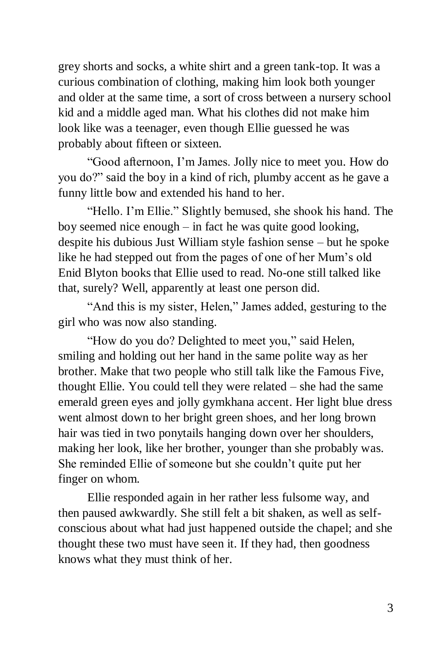grey shorts and socks, a white shirt and a green tank-top. It was a curious combination of clothing, making him look both younger and older at the same time, a sort of cross between a nursery school kid and a middle aged man. What his clothes did not make him look like was a teenager, even though Ellie guessed he was probably about fifteen or sixteen.

"Good afternoon, I'm James. Jolly nice to meet you. How do you do?" said the boy in a kind of rich, plumby accent as he gave a funny little bow and extended his hand to her.

"Hello. I'm Ellie." Slightly bemused, she shook his hand. The boy seemed nice enough – in fact he was quite good looking, despite his dubious Just William style fashion sense – but he spoke like he had stepped out from the pages of one of her Mum's old Enid Blyton books that Ellie used to read. No-one still talked like that, surely? Well, apparently at least one person did.

"And this is my sister, Helen," James added, gesturing to the girl who was now also standing.

"How do you do? Delighted to meet you," said Helen, smiling and holding out her hand in the same polite way as her brother. Make that two people who still talk like the Famous Five, thought Ellie. You could tell they were related – she had the same emerald green eyes and jolly gymkhana accent. Her light blue dress went almost down to her bright green shoes, and her long brown hair was tied in two ponytails hanging down over her shoulders, making her look, like her brother, younger than she probably was. She reminded Ellie of someone but she couldn't quite put her finger on whom.

Ellie responded again in her rather less fulsome way, and then paused awkwardly. She still felt a bit shaken, as well as selfconscious about what had just happened outside the chapel; and she thought these two must have seen it. If they had, then goodness knows what they must think of her.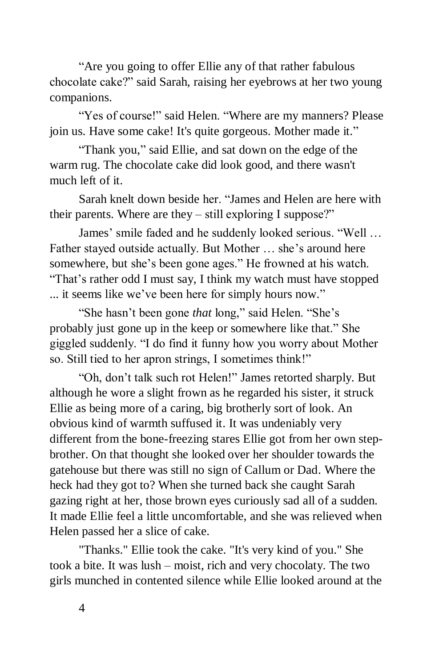"Are you going to offer Ellie any of that rather fabulous chocolate cake?" said Sarah, raising her eyebrows at her two young companions.

"Yes of course!" said Helen. "Where are my manners? Please join us. Have some cake! It's quite gorgeous. Mother made it."

"Thank you," said Ellie, and sat down on the edge of the warm rug. The chocolate cake did look good, and there wasn't much left of it.

Sarah knelt down beside her. "James and Helen are here with their parents. Where are they – still exploring I suppose?"

James' smile faded and he suddenly looked serious. "Well … Father stayed outside actually. But Mother … she's around here somewhere, but she's been gone ages." He frowned at his watch. "That's rather odd I must say, I think my watch must have stopped ... it seems like we've been here for simply hours now."

"She hasn't been gone *that* long," said Helen. "She's probably just gone up in the keep or somewhere like that." She giggled suddenly. "I do find it funny how you worry about Mother so. Still tied to her apron strings, I sometimes think!"

"Oh, don't talk such rot Helen!" James retorted sharply. But although he wore a slight frown as he regarded his sister, it struck Ellie as being more of a caring, big brotherly sort of look. An obvious kind of warmth suffused it. It was undeniably very different from the bone-freezing stares Ellie got from her own stepbrother. On that thought she looked over her shoulder towards the gatehouse but there was still no sign of Callum or Dad. Where the heck had they got to? When she turned back she caught Sarah gazing right at her, those brown eyes curiously sad all of a sudden. It made Ellie feel a little uncomfortable, and she was relieved when Helen passed her a slice of cake.

"Thanks." Ellie took the cake. "It's very kind of you." She took a bite. It was lush – moist, rich and very chocolaty. The two girls munched in contented silence while Ellie looked around at the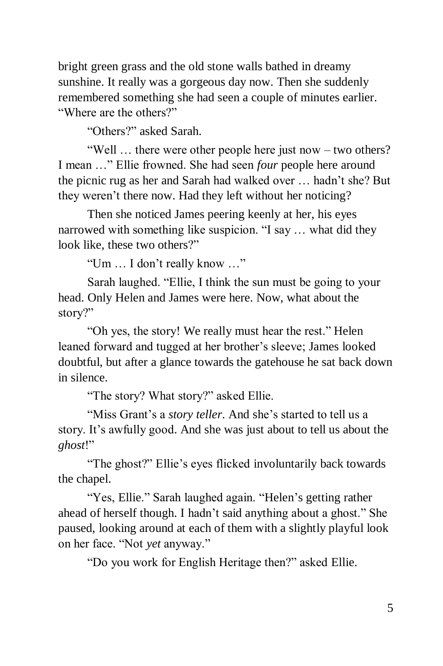bright green grass and the old stone walls bathed in dreamy sunshine. It really was a gorgeous day now. Then she suddenly remembered something she had seen a couple of minutes earlier. "Where are the others?"

"Others?" asked Sarah.

"Well … there were other people here just now – two others? I mean …" Ellie frowned. She had seen *four* people here around the picnic rug as her and Sarah had walked over … hadn't she? But they weren't there now. Had they left without her noticing?

Then she noticed James peering keenly at her, his eyes narrowed with something like suspicion. "I say … what did they look like, these two others?"

"Um … I don't really know …"

Sarah laughed. "Ellie, I think the sun must be going to your head. Only Helen and James were here. Now, what about the story?"

"Oh yes, the story! We really must hear the rest." Helen leaned forward and tugged at her brother's sleeve; James looked doubtful, but after a glance towards the gatehouse he sat back down in silence.

"The story? What story?" asked Ellie.

"Miss Grant's a *story teller*. And she's started to tell us a story. It's awfully good. And she was just about to tell us about the *ghost*!"

"The ghost?" Ellie's eyes flicked involuntarily back towards the chapel.

"Yes, Ellie." Sarah laughed again. "Helen's getting rather ahead of herself though. I hadn't said anything about a ghost." She paused, looking around at each of them with a slightly playful look on her face. "Not *yet* anyway."

"Do you work for English Heritage then?" asked Ellie.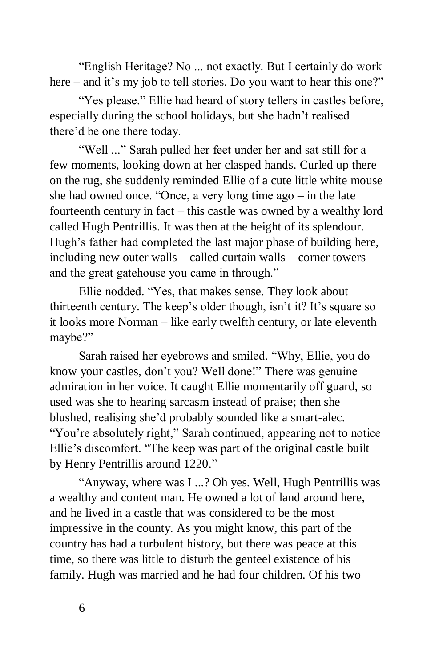"English Heritage? No ... not exactly. But I certainly do work here – and it's my job to tell stories. Do you want to hear this one?"

"Yes please." Ellie had heard of story tellers in castles before, especially during the school holidays, but she hadn't realised there'd be one there today.

"Well ..." Sarah pulled her feet under her and sat still for a few moments, looking down at her clasped hands. Curled up there on the rug, she suddenly reminded Ellie of a cute little white mouse she had owned once. "Once, a very long time ago – in the late fourteenth century in fact – this castle was owned by a wealthy lord called Hugh Pentrillis. It was then at the height of its splendour. Hugh's father had completed the last major phase of building here, including new outer walls – called curtain walls – corner towers and the great gatehouse you came in through."

Ellie nodded. "Yes, that makes sense. They look about thirteenth century. The keep's older though, isn't it? It's square so it looks more Norman – like early twelfth century, or late eleventh maybe?"

Sarah raised her eyebrows and smiled. "Why, Ellie, you do know your castles, don't you? Well done!" There was genuine admiration in her voice. It caught Ellie momentarily off guard, so used was she to hearing sarcasm instead of praise; then she blushed, realising she'd probably sounded like a smart-alec. "You're absolutely right," Sarah continued, appearing not to notice Ellie's discomfort. "The keep was part of the original castle built by Henry Pentrillis around 1220."

"Anyway, where was I ...? Oh yes. Well, Hugh Pentrillis was a wealthy and content man. He owned a lot of land around here, and he lived in a castle that was considered to be the most impressive in the county. As you might know, this part of the country has had a turbulent history, but there was peace at this time, so there was little to disturb the genteel existence of his family. Hugh was married and he had four children. Of his two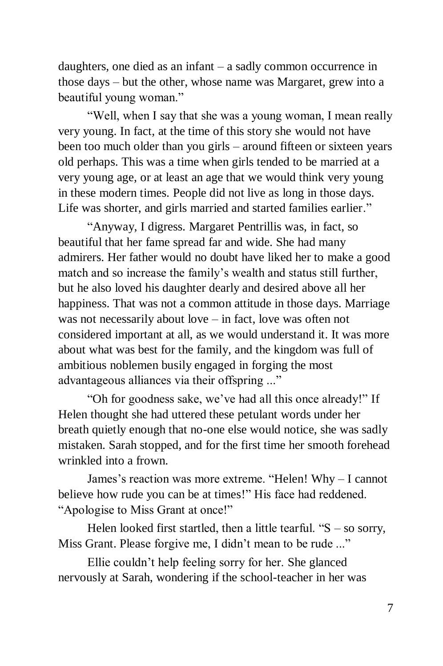daughters, one died as an infant – a sadly common occurrence in those days – but the other, whose name was Margaret, grew into a beautiful young woman."

"Well, when I say that she was a young woman, I mean really very young. In fact, at the time of this story she would not have been too much older than you girls – around fifteen or sixteen years old perhaps. This was a time when girls tended to be married at a very young age, or at least an age that we would think very young in these modern times. People did not live as long in those days. Life was shorter, and girls married and started families earlier."

"Anyway, I digress. Margaret Pentrillis was, in fact, so beautiful that her fame spread far and wide. She had many admirers. Her father would no doubt have liked her to make a good match and so increase the family's wealth and status still further, but he also loved his daughter dearly and desired above all her happiness. That was not a common attitude in those days. Marriage was not necessarily about love – in fact, love was often not considered important at all, as we would understand it. It was more about what was best for the family, and the kingdom was full of ambitious noblemen busily engaged in forging the most advantageous alliances via their offspring ..."

"Oh for goodness sake, we've had all this once already!" If Helen thought she had uttered these petulant words under her breath quietly enough that no-one else would notice, she was sadly mistaken. Sarah stopped, and for the first time her smooth forehead wrinkled into a frown.

James's reaction was more extreme. "Helen! Why – I cannot believe how rude you can be at times!" His face had reddened. "Apologise to Miss Grant at once!"

Helen looked first startled, then a little tearful. " $S -$ so sorry, Miss Grant. Please forgive me, I didn't mean to be rude ..."

Ellie couldn't help feeling sorry for her. She glanced nervously at Sarah, wondering if the school-teacher in her was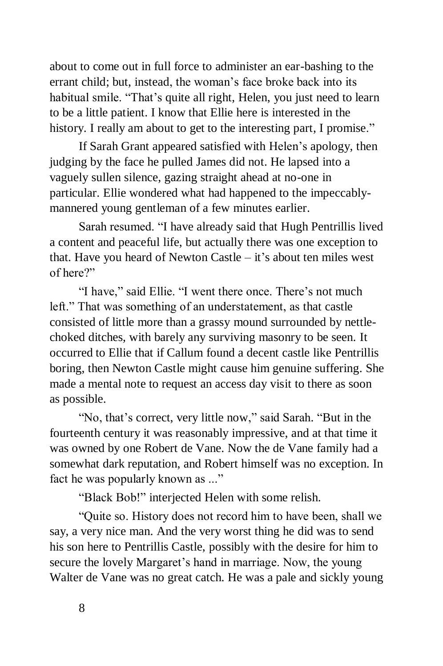about to come out in full force to administer an ear-bashing to the errant child; but, instead, the woman's face broke back into its habitual smile. "That's quite all right, Helen, you just need to learn to be a little patient. I know that Ellie here is interested in the history. I really am about to get to the interesting part, I promise."

If Sarah Grant appeared satisfied with Helen's apology, then judging by the face he pulled James did not. He lapsed into a vaguely sullen silence, gazing straight ahead at no-one in particular. Ellie wondered what had happened to the impeccablymannered young gentleman of a few minutes earlier.

Sarah resumed. "I have already said that Hugh Pentrillis lived a content and peaceful life, but actually there was one exception to that. Have you heard of Newton Castle – it's about ten miles west of here?"

"I have," said Ellie. "I went there once. There's not much left." That was something of an understatement, as that castle consisted of little more than a grassy mound surrounded by nettlechoked ditches, with barely any surviving masonry to be seen. It occurred to Ellie that if Callum found a decent castle like Pentrillis boring, then Newton Castle might cause him genuine suffering. She made a mental note to request an access day visit to there as soon as possible.

"No, that's correct, very little now," said Sarah. "But in the fourteenth century it was reasonably impressive, and at that time it was owned by one Robert de Vane. Now the de Vane family had a somewhat dark reputation, and Robert himself was no exception. In fact he was popularly known as ..."

"Black Bob!" interjected Helen with some relish.

"Quite so. History does not record him to have been, shall we say, a very nice man. And the very worst thing he did was to send his son here to Pentrillis Castle, possibly with the desire for him to secure the lovely Margaret's hand in marriage. Now, the young Walter de Vane was no great catch. He was a pale and sickly young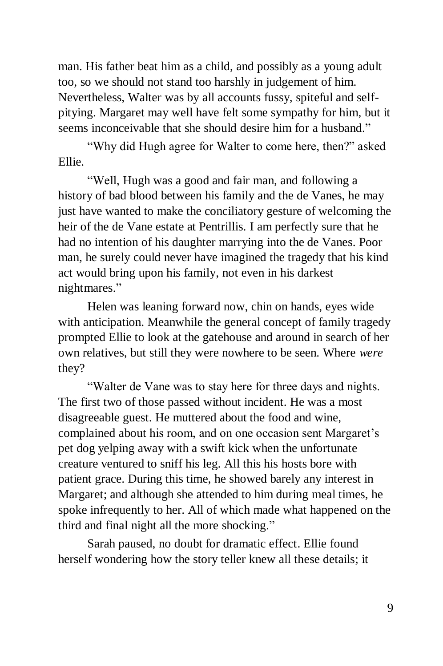man. His father beat him as a child, and possibly as a young adult too, so we should not stand too harshly in judgement of him. Nevertheless, Walter was by all accounts fussy, spiteful and selfpitying. Margaret may well have felt some sympathy for him, but it seems inconceivable that she should desire him for a husband."

"Why did Hugh agree for Walter to come here, then?" asked Ellie.

"Well, Hugh was a good and fair man, and following a history of bad blood between his family and the de Vanes, he may just have wanted to make the conciliatory gesture of welcoming the heir of the de Vane estate at Pentrillis. I am perfectly sure that he had no intention of his daughter marrying into the de Vanes. Poor man, he surely could never have imagined the tragedy that his kind act would bring upon his family, not even in his darkest nightmares."

Helen was leaning forward now, chin on hands, eyes wide with anticipation. Meanwhile the general concept of family tragedy prompted Ellie to look at the gatehouse and around in search of her own relatives, but still they were nowhere to be seen. Where *were* they?

"Walter de Vane was to stay here for three days and nights. The first two of those passed without incident. He was a most disagreeable guest. He muttered about the food and wine, complained about his room, and on one occasion sent Margaret's pet dog yelping away with a swift kick when the unfortunate creature ventured to sniff his leg. All this his hosts bore with patient grace. During this time, he showed barely any interest in Margaret; and although she attended to him during meal times, he spoke infrequently to her. All of which made what happened on the third and final night all the more shocking."

Sarah paused, no doubt for dramatic effect. Ellie found herself wondering how the story teller knew all these details; it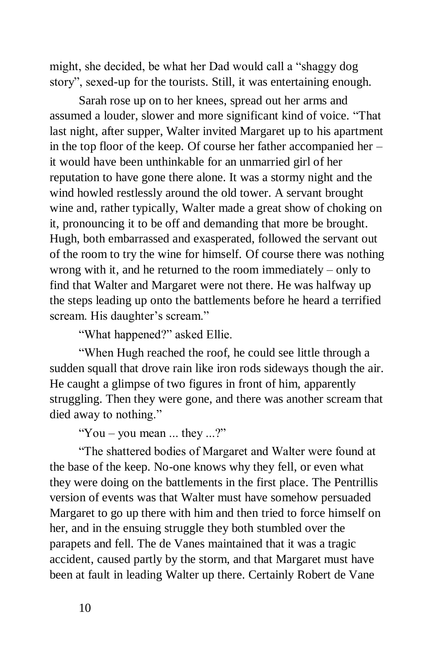might, she decided, be what her Dad would call a "shaggy dog story", sexed-up for the tourists. Still, it was entertaining enough.

Sarah rose up on to her knees, spread out her arms and assumed a louder, slower and more significant kind of voice. "That last night, after supper, Walter invited Margaret up to his apartment in the top floor of the keep. Of course her father accompanied her – it would have been unthinkable for an unmarried girl of her reputation to have gone there alone. It was a stormy night and the wind howled restlessly around the old tower. A servant brought wine and, rather typically, Walter made a great show of choking on it, pronouncing it to be off and demanding that more be brought. Hugh, both embarrassed and exasperated, followed the servant out of the room to try the wine for himself. Of course there was nothing wrong with it, and he returned to the room immediately – only to find that Walter and Margaret were not there. He was halfway up the steps leading up onto the battlements before he heard a terrified scream. His daughter's scream."

"What happened?" asked Ellie.

"When Hugh reached the roof, he could see little through a sudden squall that drove rain like iron rods sideways though the air. He caught a glimpse of two figures in front of him, apparently struggling. Then they were gone, and there was another scream that died away to nothing."

"You – you mean ... they ...?"

"The shattered bodies of Margaret and Walter were found at the base of the keep. No-one knows why they fell, or even what they were doing on the battlements in the first place. The Pentrillis version of events was that Walter must have somehow persuaded Margaret to go up there with him and then tried to force himself on her, and in the ensuing struggle they both stumbled over the parapets and fell. The de Vanes maintained that it was a tragic accident, caused partly by the storm, and that Margaret must have been at fault in leading Walter up there. Certainly Robert de Vane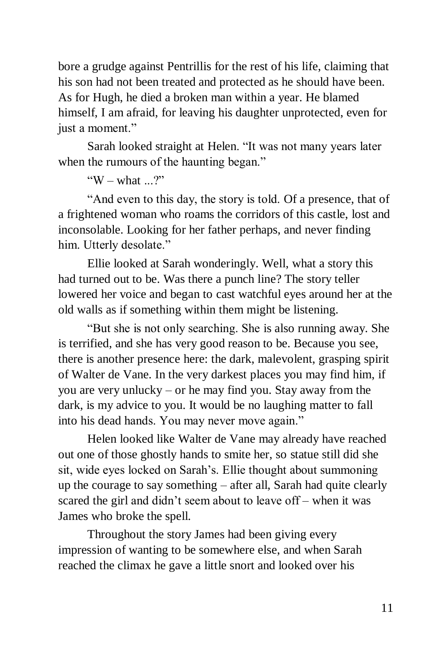bore a grudge against Pentrillis for the rest of his life, claiming that his son had not been treated and protected as he should have been. As for Hugh, he died a broken man within a year. He blamed himself, I am afraid, for leaving his daughter unprotected, even for just a moment."

Sarah looked straight at Helen. "It was not many years later when the rumours of the haunting began."

"W – what  $?$ "

"And even to this day, the story is told. Of a presence, that of a frightened woman who roams the corridors of this castle, lost and inconsolable. Looking for her father perhaps, and never finding him. Utterly desolate."

Ellie looked at Sarah wonderingly. Well, what a story this had turned out to be. Was there a punch line? The story teller lowered her voice and began to cast watchful eyes around her at the old walls as if something within them might be listening.

"But she is not only searching. She is also running away. She is terrified, and she has very good reason to be. Because you see, there is another presence here: the dark, malevolent, grasping spirit of Walter de Vane. In the very darkest places you may find him, if you are very unlucky – or he may find you. Stay away from the dark, is my advice to you. It would be no laughing matter to fall into his dead hands. You may never move again."

Helen looked like Walter de Vane may already have reached out one of those ghostly hands to smite her, so statue still did she sit, wide eyes locked on Sarah's. Ellie thought about summoning up the courage to say something – after all, Sarah had quite clearly scared the girl and didn't seem about to leave off – when it was James who broke the spell.

Throughout the story James had been giving every impression of wanting to be somewhere else, and when Sarah reached the climax he gave a little snort and looked over his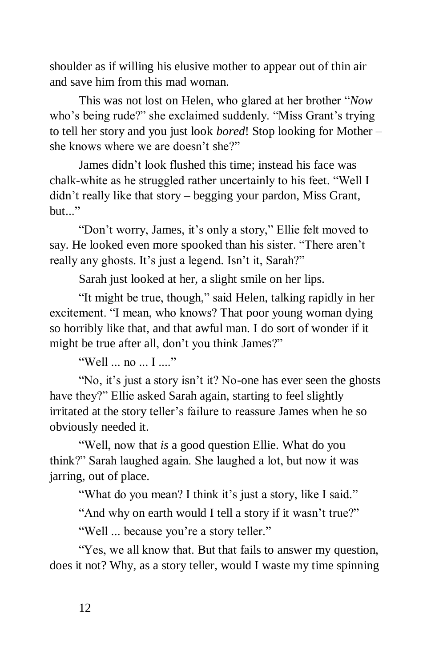shoulder as if willing his elusive mother to appear out of thin air and save him from this mad woman.

This was not lost on Helen, who glared at her brother "*Now* who's being rude?" she exclaimed suddenly. "Miss Grant's trying to tell her story and you just look *bored*! Stop looking for Mother – she knows where we are doesn't she?"

James didn't look flushed this time; instead his face was chalk-white as he struggled rather uncertainly to his feet. "Well I didn't really like that story – begging your pardon, Miss Grant,  $but$ ."

"Don't worry, James, it's only a story," Ellie felt moved to say. He looked even more spooked than his sister. "There aren't really any ghosts. It's just a legend. Isn't it, Sarah?"

Sarah just looked at her, a slight smile on her lips.

"It might be true, though," said Helen, talking rapidly in her excitement. "I mean, who knows? That poor young woman dying so horribly like that, and that awful man. I do sort of wonder if it might be true after all, don't you think James?"

"Well ... no ... I ...."

"No, it's just a story isn't it? No-one has ever seen the ghosts have they?" Ellie asked Sarah again, starting to feel slightly irritated at the story teller's failure to reassure James when he so obviously needed it.

"Well, now that *is* a good question Ellie. What do you think?" Sarah laughed again. She laughed a lot, but now it was jarring, out of place.

"What do you mean? I think it's just a story, like I said."

"And why on earth would I tell a story if it wasn't true?"

"Well ... because you're a story teller."

"Yes, we all know that. But that fails to answer my question, does it not? Why, as a story teller, would I waste my time spinning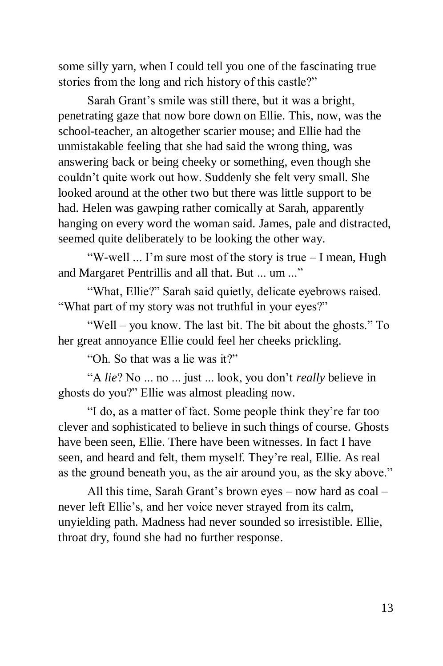some silly yarn, when I could tell you one of the fascinating true stories from the long and rich history of this castle?"

Sarah Grant's smile was still there, but it was a bright, penetrating gaze that now bore down on Ellie. This, now, was the school-teacher, an altogether scarier mouse; and Ellie had the unmistakable feeling that she had said the wrong thing, was answering back or being cheeky or something, even though she couldn't quite work out how. Suddenly she felt very small. She looked around at the other two but there was little support to be had. Helen was gawping rather comically at Sarah, apparently hanging on every word the woman said. James, pale and distracted, seemed quite deliberately to be looking the other way.

"W-well ... I'm sure most of the story is true – I mean, Hugh and Margaret Pentrillis and all that. But ... um ..."

"What, Ellie?" Sarah said quietly, delicate eyebrows raised. "What part of my story was not truthful in your eyes?"

"Well – you know. The last bit. The bit about the ghosts." To her great annoyance Ellie could feel her cheeks prickling.

"Oh. So that was a lie was it?"

"A *lie*? No ... no ... just ... look, you don't *really* believe in ghosts do you?" Ellie was almost pleading now.

"I do, as a matter of fact. Some people think they're far too clever and sophisticated to believe in such things of course. Ghosts have been seen, Ellie. There have been witnesses. In fact I have seen, and heard and felt, them myself. They're real, Ellie. As real as the ground beneath you, as the air around you, as the sky above."

All this time, Sarah Grant's brown eyes – now hard as coal – never left Ellie's, and her voice never strayed from its calm, unyielding path. Madness had never sounded so irresistible. Ellie, throat dry, found she had no further response.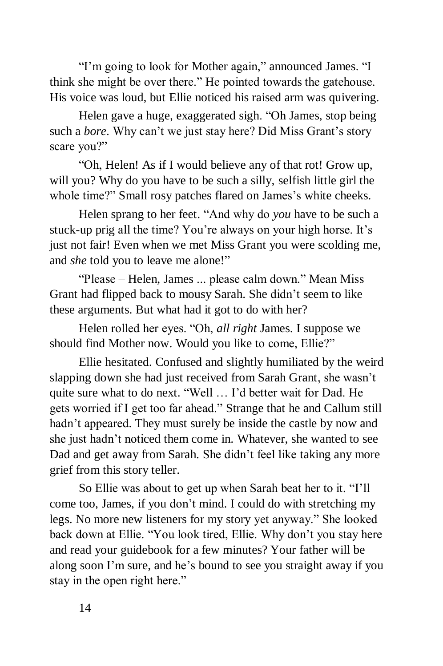"I'm going to look for Mother again," announced James. "I think she might be over there." He pointed towards the gatehouse. His voice was loud, but Ellie noticed his raised arm was quivering.

Helen gave a huge, exaggerated sigh. "Oh James, stop being such a *bore*. Why can't we just stay here? Did Miss Grant's story scare you?"

"Oh, Helen! As if I would believe any of that rot! Grow up, will you? Why do you have to be such a silly, selfish little girl the whole time?" Small rosy patches flared on James's white cheeks.

Helen sprang to her feet. "And why do *you* have to be such a stuck-up prig all the time? You're always on your high horse. It's just not fair! Even when we met Miss Grant you were scolding me, and *she* told you to leave me alone!"

"Please – Helen, James ... please calm down." Mean Miss Grant had flipped back to mousy Sarah. She didn't seem to like these arguments. But what had it got to do with her?

Helen rolled her eyes. "Oh, *all right* James. I suppose we should find Mother now. Would you like to come, Ellie?"

Ellie hesitated. Confused and slightly humiliated by the weird slapping down she had just received from Sarah Grant, she wasn't quite sure what to do next. "Well … I'd better wait for Dad. He gets worried if I get too far ahead." Strange that he and Callum still hadn't appeared. They must surely be inside the castle by now and she just hadn't noticed them come in. Whatever, she wanted to see Dad and get away from Sarah. She didn't feel like taking any more grief from this story teller.

So Ellie was about to get up when Sarah beat her to it. "I'll come too, James, if you don't mind. I could do with stretching my legs. No more new listeners for my story yet anyway." She looked back down at Ellie. "You look tired, Ellie. Why don't you stay here and read your guidebook for a few minutes? Your father will be along soon I'm sure, and he's bound to see you straight away if you stay in the open right here."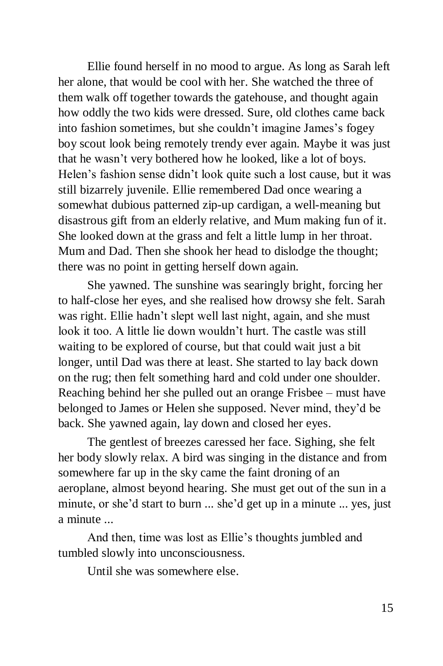Ellie found herself in no mood to argue. As long as Sarah left her alone, that would be cool with her. She watched the three of them walk off together towards the gatehouse, and thought again how oddly the two kids were dressed. Sure, old clothes came back into fashion sometimes, but she couldn't imagine James's fogey boy scout look being remotely trendy ever again. Maybe it was just that he wasn't very bothered how he looked, like a lot of boys. Helen's fashion sense didn't look quite such a lost cause, but it was still bizarrely juvenile. Ellie remembered Dad once wearing a somewhat dubious patterned zip-up cardigan, a well-meaning but disastrous gift from an elderly relative, and Mum making fun of it. She looked down at the grass and felt a little lump in her throat. Mum and Dad. Then she shook her head to dislodge the thought; there was no point in getting herself down again.

She yawned. The sunshine was searingly bright, forcing her to half-close her eyes, and she realised how drowsy she felt. Sarah was right. Ellie hadn't slept well last night, again, and she must look it too. A little lie down wouldn't hurt. The castle was still waiting to be explored of course, but that could wait just a bit longer, until Dad was there at least. She started to lay back down on the rug; then felt something hard and cold under one shoulder. Reaching behind her she pulled out an orange Frisbee – must have belonged to James or Helen she supposed. Never mind, they'd be back. She yawned again, lay down and closed her eyes.

The gentlest of breezes caressed her face. Sighing, she felt her body slowly relax. A bird was singing in the distance and from somewhere far up in the sky came the faint droning of an aeroplane, almost beyond hearing. She must get out of the sun in a minute, or she'd start to burn ... she'd get up in a minute ... yes, just a minute ...

And then, time was lost as Ellie's thoughts jumbled and tumbled slowly into unconsciousness.

Until she was somewhere else.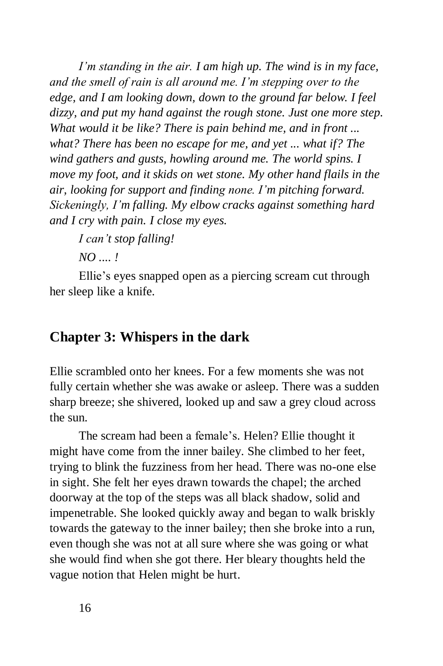*I'm standing in the air. I am high up. The wind is in my face, and the smell of rain is all around me. I'm stepping over to the edge, and I am looking down, down to the ground far below. I feel dizzy, and put my hand against the rough stone. Just one more step. What would it be like? There is pain behind me, and in front ... what? There has been no escape for me, and yet ... what if? The wind gathers and gusts, howling around me. The world spins. I move my foot, and it skids on wet stone. My other hand flails in the air, looking for support and finding none. I'm pitching forward. Sickeningly, I'm falling. My elbow cracks against something hard and I cry with pain. I close my eyes.*

*I can't stop falling!*

*NO .... !*

Ellie's eyes snapped open as a piercing scream cut through her sleep like a knife.

### **Chapter 3: Whispers in the dark**

Ellie scrambled onto her knees. For a few moments she was not fully certain whether she was awake or asleep. There was a sudden sharp breeze; she shivered, looked up and saw a grey cloud across the sun.

The scream had been a female's. Helen? Ellie thought it might have come from the inner bailey. She climbed to her feet, trying to blink the fuzziness from her head. There was no-one else in sight. She felt her eyes drawn towards the chapel; the arched doorway at the top of the steps was all black shadow, solid and impenetrable. She looked quickly away and began to walk briskly towards the gateway to the inner bailey; then she broke into a run, even though she was not at all sure where she was going or what she would find when she got there. Her bleary thoughts held the vague notion that Helen might be hurt.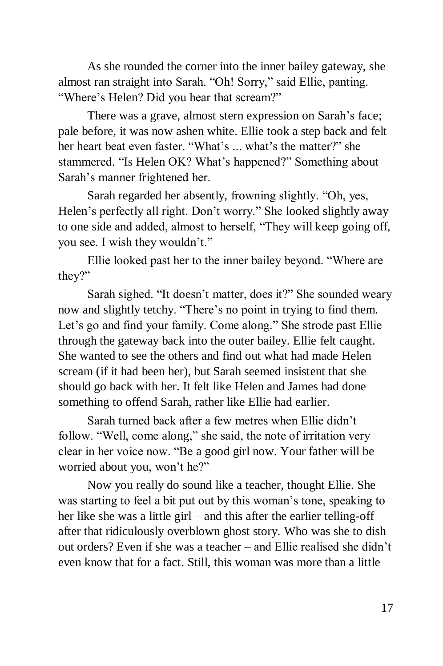As she rounded the corner into the inner bailey gateway, she almost ran straight into Sarah. "Oh! Sorry," said Ellie, panting. "Where's Helen? Did you hear that scream?"

There was a grave, almost stern expression on Sarah's face; pale before, it was now ashen white. Ellie took a step back and felt her heart beat even faster. "What's ... what's the matter?" she stammered. "Is Helen OK? What's happened?" Something about Sarah's manner frightened her.

Sarah regarded her absently, frowning slightly. "Oh, yes, Helen's perfectly all right. Don't worry." She looked slightly away to one side and added, almost to herself, "They will keep going off, you see. I wish they wouldn't."

Ellie looked past her to the inner bailey beyond. "Where are they?"

Sarah sighed. "It doesn't matter, does it?" She sounded weary now and slightly tetchy. "There's no point in trying to find them. Let's go and find your family. Come along." She strode past Ellie through the gateway back into the outer bailey. Ellie felt caught. She wanted to see the others and find out what had made Helen scream (if it had been her), but Sarah seemed insistent that she should go back with her. It felt like Helen and James had done something to offend Sarah, rather like Ellie had earlier.

Sarah turned back after a few metres when Ellie didn't follow. "Well, come along," she said, the note of irritation very clear in her voice now. "Be a good girl now. Your father will be worried about you, won't he?"

Now you really do sound like a teacher, thought Ellie. She was starting to feel a bit put out by this woman's tone, speaking to her like she was a little girl – and this after the earlier telling-off after that ridiculously overblown ghost story. Who was she to dish out orders? Even if she was a teacher – and Ellie realised she didn't even know that for a fact. Still, this woman was more than a little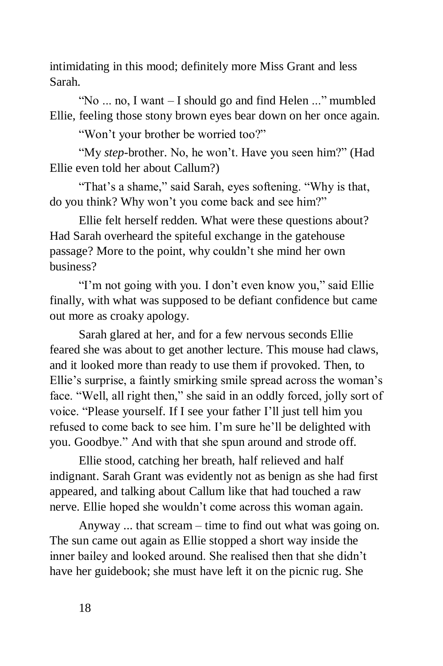intimidating in this mood; definitely more Miss Grant and less Sarah.

"No ... no, I want – I should go and find Helen ..." mumbled Ellie, feeling those stony brown eyes bear down on her once again.

"Won't your brother be worried too?"

"My *step*-brother. No, he won't. Have you seen him?" (Had Ellie even told her about Callum?)

"That's a shame," said Sarah, eyes softening. "Why is that, do you think? Why won't you come back and see him?"

Ellie felt herself redden. What were these questions about? Had Sarah overheard the spiteful exchange in the gatehouse passage? More to the point, why couldn't she mind her own business?

"I'm not going with you. I don't even know you," said Ellie finally, with what was supposed to be defiant confidence but came out more as croaky apology.

Sarah glared at her, and for a few nervous seconds Ellie feared she was about to get another lecture. This mouse had claws, and it looked more than ready to use them if provoked. Then, to Ellie's surprise, a faintly smirking smile spread across the woman's face. "Well, all right then," she said in an oddly forced, jolly sort of voice. "Please yourself. If I see your father I'll just tell him you refused to come back to see him. I'm sure he'll be delighted with you. Goodbye." And with that she spun around and strode off.

Ellie stood, catching her breath, half relieved and half indignant. Sarah Grant was evidently not as benign as she had first appeared, and talking about Callum like that had touched a raw nerve. Ellie hoped she wouldn't come across this woman again.

Anyway ... that scream – time to find out what was going on. The sun came out again as Ellie stopped a short way inside the inner bailey and looked around. She realised then that she didn't have her guidebook; she must have left it on the picnic rug. She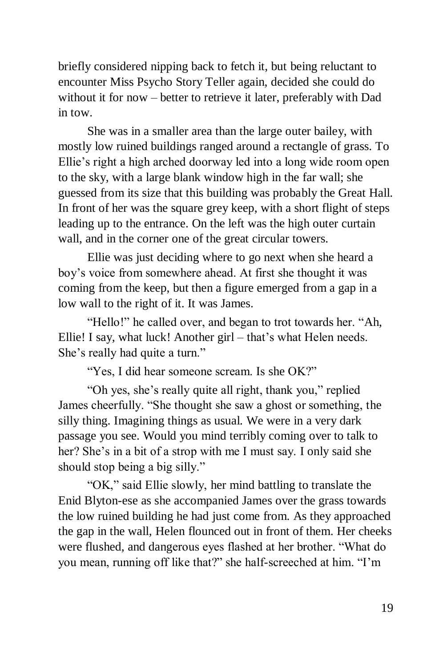briefly considered nipping back to fetch it, but being reluctant to encounter Miss Psycho Story Teller again, decided she could do without it for now – better to retrieve it later, preferably with Dad in tow.

She was in a smaller area than the large outer bailey, with mostly low ruined buildings ranged around a rectangle of grass. To Ellie's right a high arched doorway led into a long wide room open to the sky, with a large blank window high in the far wall; she guessed from its size that this building was probably the Great Hall. In front of her was the square grey keep, with a short flight of steps leading up to the entrance. On the left was the high outer curtain wall, and in the corner one of the great circular towers.

Ellie was just deciding where to go next when she heard a boy's voice from somewhere ahead. At first she thought it was coming from the keep, but then a figure emerged from a gap in a low wall to the right of it. It was James.

"Hello!" he called over, and began to trot towards her. "Ah, Ellie! I say, what luck! Another girl – that's what Helen needs. She's really had quite a turn."

"Yes, I did hear someone scream. Is she OK?"

"Oh yes, she's really quite all right, thank you," replied James cheerfully. "She thought she saw a ghost or something, the silly thing. Imagining things as usual. We were in a very dark passage you see. Would you mind terribly coming over to talk to her? She's in a bit of a strop with me I must say. I only said she should stop being a big silly."

"OK," said Ellie slowly, her mind battling to translate the Enid Blyton-ese as she accompanied James over the grass towards the low ruined building he had just come from. As they approached the gap in the wall, Helen flounced out in front of them. Her cheeks were flushed, and dangerous eyes flashed at her brother. "What do you mean, running off like that?" she half-screeched at him. "I'm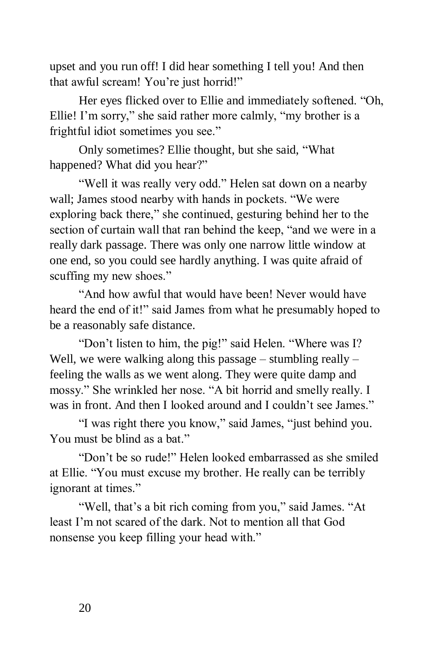upset and you run off! I did hear something I tell you! And then that awful scream! You're just horrid!"

Her eyes flicked over to Ellie and immediately softened. "Oh, Ellie! I'm sorry," she said rather more calmly, "my brother is a frightful idiot sometimes you see."

Only sometimes? Ellie thought, but she said, "What happened? What did you hear?"

"Well it was really very odd." Helen sat down on a nearby wall; James stood nearby with hands in pockets. "We were exploring back there," she continued, gesturing behind her to the section of curtain wall that ran behind the keep, "and we were in a really dark passage. There was only one narrow little window at one end, so you could see hardly anything. I was quite afraid of scuffing my new shoes."

"And how awful that would have been! Never would have heard the end of it!" said James from what he presumably hoped to be a reasonably safe distance.

"Don't listen to him, the pig!" said Helen. "Where was I? Well, we were walking along this passage – stumbling really – feeling the walls as we went along. They were quite damp and mossy." She wrinkled her nose. "A bit horrid and smelly really. I was in front. And then I looked around and I couldn't see James."

"I was right there you know," said James, "just behind you. You must be blind as a bat."

"Don't be so rude!" Helen looked embarrassed as she smiled at Ellie. "You must excuse my brother. He really can be terribly ignorant at times."

"Well, that's a bit rich coming from you," said James. "At least I'm not scared of the dark. Not to mention all that God nonsense you keep filling your head with."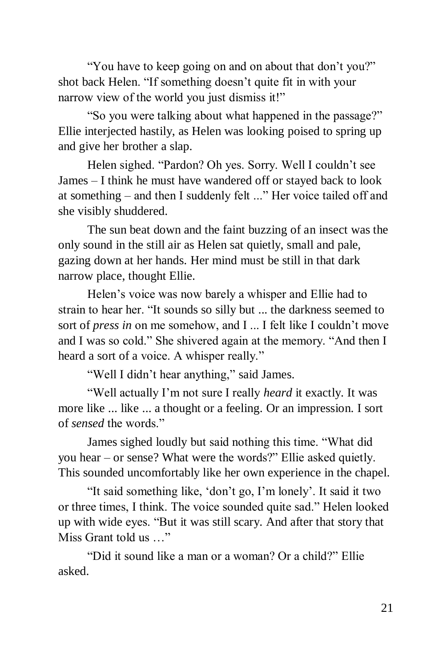"You have to keep going on and on about that don't you?" shot back Helen. "If something doesn't quite fit in with your narrow view of the world you just dismiss it!"

"So you were talking about what happened in the passage?" Ellie interjected hastily, as Helen was looking poised to spring up and give her brother a slap.

Helen sighed. "Pardon? Oh yes. Sorry. Well I couldn't see James – I think he must have wandered off or stayed back to look at something – and then I suddenly felt ..." Her voice tailed off and she visibly shuddered.

The sun beat down and the faint buzzing of an insect was the only sound in the still air as Helen sat quietly, small and pale, gazing down at her hands. Her mind must be still in that dark narrow place, thought Ellie.

Helen's voice was now barely a whisper and Ellie had to strain to hear her. "It sounds so silly but ... the darkness seemed to sort of *press in* on me somehow, and I ... I felt like I couldn't move and I was so cold." She shivered again at the memory. "And then I heard a sort of a voice. A whisper really."

"Well I didn't hear anything," said James.

"Well actually I'm not sure I really *heard* it exactly. It was more like ... like ... a thought or a feeling. Or an impression. I sort of *sensed* the words."

James sighed loudly but said nothing this time. "What did you hear – or sense? What were the words?" Ellie asked quietly. This sounded uncomfortably like her own experience in the chapel.

"It said something like, 'don't go, I'm lonely'. It said it two or three times, I think. The voice sounded quite sad." Helen looked up with wide eyes. "But it was still scary. And after that story that Miss Grant told us …"

"Did it sound like a man or a woman? Or a child?" Ellie asked.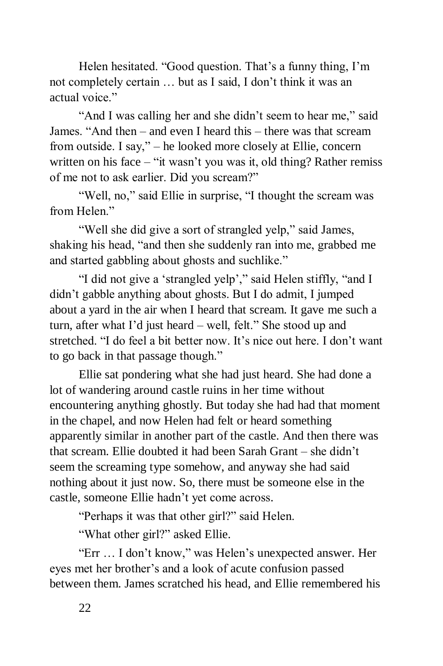Helen hesitated. "Good question. That's a funny thing, I'm not completely certain … but as I said, I don't think it was an actual voice."

"And I was calling her and she didn't seem to hear me," said James. "And then – and even I heard this – there was that scream from outside. I say," – he looked more closely at Ellie, concern written on his face – "it wasn't you was it, old thing? Rather remiss of me not to ask earlier. Did you scream?"

"Well, no," said Ellie in surprise, "I thought the scream was from Helen<sup>"</sup>

"Well she did give a sort of strangled yelp," said James, shaking his head, "and then she suddenly ran into me, grabbed me and started gabbling about ghosts and suchlike."

"I did not give a 'strangled yelp'," said Helen stiffly, "and I didn't gabble anything about ghosts. But I do admit, I jumped about a yard in the air when I heard that scream. It gave me such a turn, after what I'd just heard – well, felt." She stood up and stretched. "I do feel a bit better now. It's nice out here. I don't want to go back in that passage though."

Ellie sat pondering what she had just heard. She had done a lot of wandering around castle ruins in her time without encountering anything ghostly. But today she had had that moment in the chapel, and now Helen had felt or heard something apparently similar in another part of the castle. And then there was that scream. Ellie doubted it had been Sarah Grant – she didn't seem the screaming type somehow, and anyway she had said nothing about it just now. So, there must be someone else in the castle, someone Ellie hadn't yet come across.

"Perhaps it was that other girl?" said Helen.

"What other girl?" asked Ellie.

"Err … I don't know," was Helen's unexpected answer. Her eyes met her brother's and a look of acute confusion passed between them. James scratched his head, and Ellie remembered his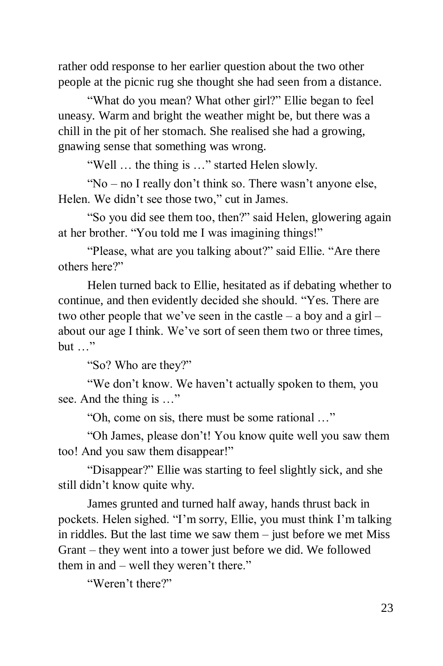rather odd response to her earlier question about the two other people at the picnic rug she thought she had seen from a distance.

"What do you mean? What other girl?" Ellie began to feel uneasy. Warm and bright the weather might be, but there was a chill in the pit of her stomach. She realised she had a growing, gnawing sense that something was wrong.

"Well … the thing is …" started Helen slowly.

"No – no I really don't think so. There wasn't anyone else, Helen. We didn't see those two," cut in James.

"So you did see them too, then?" said Helen, glowering again at her brother. "You told me I was imagining things!"

"Please, what are you talking about?" said Ellie. "Are there others here?"

Helen turned back to Ellie, hesitated as if debating whether to continue, and then evidently decided she should. "Yes. There are two other people that we've seen in the castle – a boy and a girl – about our age I think. We've sort of seen them two or three times, but …"

"So? Who are they?"

"We don't know. We haven't actually spoken to them, you see. And the thing is …"

"Oh, come on sis, there must be some rational …"

"Oh James, please don't! You know quite well you saw them too! And you saw them disappear!"

"Disappear?" Ellie was starting to feel slightly sick, and she still didn't know quite why.

James grunted and turned half away, hands thrust back in pockets. Helen sighed. "I'm sorry, Ellie, you must think I'm talking in riddles. But the last time we saw them – just before we met Miss Grant – they went into a tower just before we did. We followed them in and – well they weren't there."

"Weren't there?"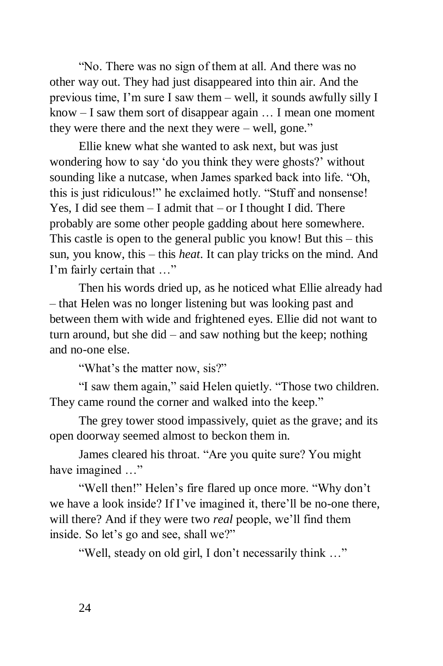"No. There was no sign of them at all. And there was no other way out. They had just disappeared into thin air. And the previous time, I'm sure I saw them – well, it sounds awfully silly I know – I saw them sort of disappear again … I mean one moment they were there and the next they were – well, gone."

Ellie knew what she wanted to ask next, but was just wondering how to say 'do you think they were ghosts?' without sounding like a nutcase, when James sparked back into life. "Oh, this is just ridiculous!" he exclaimed hotly. "Stuff and nonsense! Yes, I did see them  $-$  I admit that  $-$  or I thought I did. There probably are some other people gadding about here somewhere. This castle is open to the general public you know! But this – this sun, you know, this – this *heat*. It can play tricks on the mind. And I'm fairly certain that …"

Then his words dried up, as he noticed what Ellie already had – that Helen was no longer listening but was looking past and between them with wide and frightened eyes. Ellie did not want to turn around, but she did – and saw nothing but the keep; nothing and no-one else.

"What's the matter now, sis?"

"I saw them again," said Helen quietly. "Those two children. They came round the corner and walked into the keep."

The grey tower stood impassively, quiet as the grave; and its open doorway seemed almost to beckon them in.

James cleared his throat. "Are you quite sure? You might have imagined ..."

"Well then!" Helen's fire flared up once more. "Why don't we have a look inside? If I've imagined it, there'll be no-one there, will there? And if they were two *real* people, we'll find them inside. So let's go and see, shall we?"

"Well, steady on old girl, I don't necessarily think …"